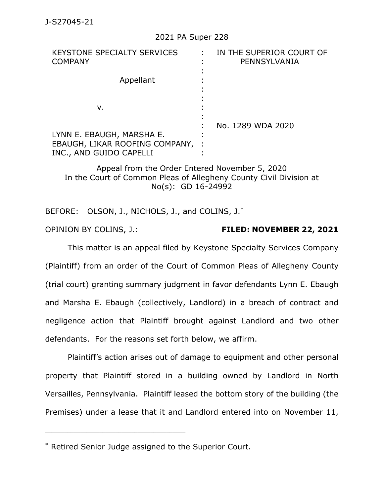## 2021 PA Super 228

| KEYSTONE SPECIALTY SERVICES<br><b>COMPANY</b>                                          | IN THE SUPERIOR COURT OF<br>PENNSYLVANIA |
|----------------------------------------------------------------------------------------|------------------------------------------|
| Appellant                                                                              |                                          |
| v.                                                                                     |                                          |
| LYNN E. EBAUGH, MARSHA E.<br>EBAUGH, LIKAR ROOFING COMPANY,<br>INC., AND GUIDO CAPELLI | No. 1289 WDA 2020                        |

Appeal from the Order Entered November 5, 2020 In the Court of Common Pleas of Allegheny County Civil Division at No(s): GD 16-24992

BEFORE: OLSON, J., NICHOLS, J., and COLINS, J.\*

OPINION BY COLINS, J.: **FILED: NOVEMBER 22, 2021**

This matter is an appeal filed by Keystone Specialty Services Company (Plaintiff) from an order of the Court of Common Pleas of Allegheny County (trial court) granting summary judgment in favor defendants Lynn E. Ebaugh and Marsha E. Ebaugh (collectively, Landlord) in a breach of contract and negligence action that Plaintiff brought against Landlord and two other defendants. For the reasons set forth below, we affirm.

Plaintiff's action arises out of damage to equipment and other personal property that Plaintiff stored in a building owned by Landlord in North Versailles, Pennsylvania. Plaintiff leased the bottom story of the building (the Premises) under a lease that it and Landlord entered into on November 11,

\_\_\_\_\_\_\_\_\_\_\_\_\_\_\_\_\_\_\_\_\_\_\_\_\_\_\_\_\_\_\_\_\_\_\_\_\_\_\_\_\_\_\_\_

<sup>\*</sup> Retired Senior Judge assigned to the Superior Court.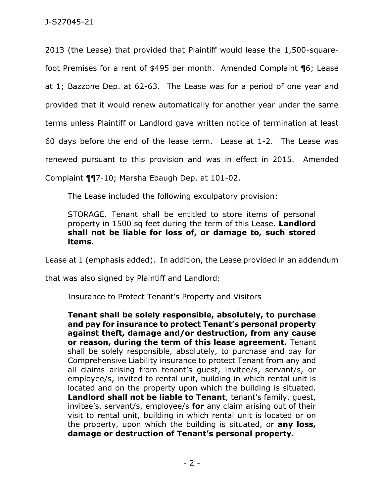2013 (the Lease) that provided that Plaintiff would lease the 1,500-squarefoot Premises for a rent of \$495 per month. Amended Complaint ¶6; Lease at 1; Bazzone Dep. at 62-63. The Lease was for a period of one year and provided that it would renew automatically for another year under the same terms unless Plaintiff or Landlord gave written notice of termination at least 60 days before the end of the lease term. Lease at 1-2. The Lease was renewed pursuant to this provision and was in effect in 2015. Amended Complaint ¶¶7-10; Marsha Ebaugh Dep. at 101-02.

The Lease included the following exculpatory provision:

STORAGE. Tenant shall be entitled to store items of personal property in 1500 sq feet during the term of this Lease. **Landlord shall not be liable for loss of, or damage to, such stored items.**

Lease at 1 (emphasis added). In addition, the Lease provided in an addendum

that was also signed by Plaintiff and Landlord:

Insurance to Protect Tenant's Property and Visitors

**Tenant shall be solely responsible, absolutely, to purchase and pay for insurance to protect Tenant's personal property against theft, damage and/or destruction, from any cause or reason, during the term of this lease agreement.** Tenant shall be solely responsible, absolutely, to purchase and pay for Comprehensive Liability insurance to protect Tenant from any and all claims arising from tenant's guest, invitee/s, servant/s, or employee/s, invited to rental unit, building in which rental unit is located and on the property upon which the building is situated. **Landlord shall not be liable to Tenant**, tenant's family, guest, invitee's, servant/s, employee/s **for** any claim arising out of their visit to rental unit, building in which rental unit is located or on the property, upon which the building is situated, or **any loss, damage or destruction of Tenant's personal property.**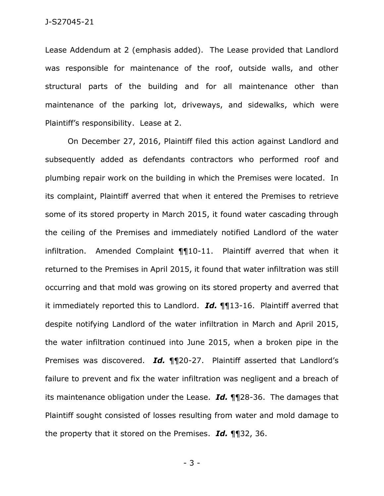Lease Addendum at 2 (emphasis added). The Lease provided that Landlord was responsible for maintenance of the roof, outside walls, and other structural parts of the building and for all maintenance other than maintenance of the parking lot, driveways, and sidewalks, which were Plaintiff's responsibility. Lease at 2.

On December 27, 2016, Plaintiff filed this action against Landlord and subsequently added as defendants contractors who performed roof and plumbing repair work on the building in which the Premises were located. In its complaint, Plaintiff averred that when it entered the Premises to retrieve some of its stored property in March 2015, it found water cascading through the ceiling of the Premises and immediately notified Landlord of the water infiltration. Amended Complaint ¶¶10-11. Plaintiff averred that when it returned to the Premises in April 2015, it found that water infiltration was still occurring and that mold was growing on its stored property and averred that it immediately reported this to Landlord. *Id.* ¶¶13-16. Plaintiff averred that despite notifying Landlord of the water infiltration in March and April 2015, the water infiltration continued into June 2015, when a broken pipe in the Premises was discovered. *Id.* ¶¶20-27. Plaintiff asserted that Landlord's failure to prevent and fix the water infiltration was negligent and a breach of its maintenance obligation under the Lease. *Id.* ¶¶28-36. The damages that Plaintiff sought consisted of losses resulting from water and mold damage to the property that it stored on the Premises. *Id.* ¶¶32, 36.

- 3 -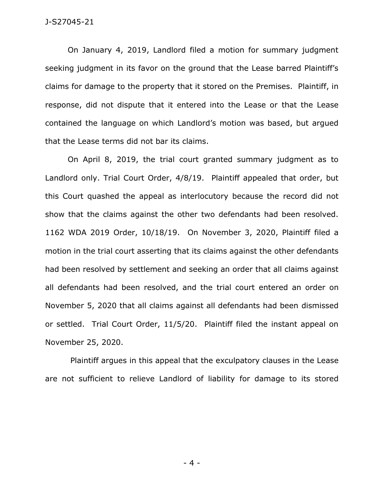## J-S27045-21

On January 4, 2019, Landlord filed a motion for summary judgment seeking judgment in its favor on the ground that the Lease barred Plaintiff's claims for damage to the property that it stored on the Premises. Plaintiff, in response, did not dispute that it entered into the Lease or that the Lease contained the language on which Landlord's motion was based, but argued that the Lease terms did not bar its claims.

On April 8, 2019, the trial court granted summary judgment as to Landlord only. Trial Court Order, 4/8/19. Plaintiff appealed that order, but this Court quashed the appeal as interlocutory because the record did not show that the claims against the other two defendants had been resolved. 1162 WDA 2019 Order, 10/18/19. On November 3, 2020, Plaintiff filed a motion in the trial court asserting that its claims against the other defendants had been resolved by settlement and seeking an order that all claims against all defendants had been resolved, and the trial court entered an order on November 5, 2020 that all claims against all defendants had been dismissed or settled. Trial Court Order, 11/5/20. Plaintiff filed the instant appeal on November 25, 2020.

Plaintiff argues in this appeal that the exculpatory clauses in the Lease are not sufficient to relieve Landlord of liability for damage to its stored

- 4 -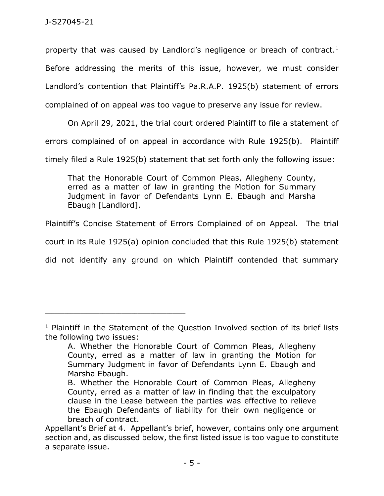property that was caused by Landlord's negligence or breach of contract.<sup>1</sup> Before addressing the merits of this issue, however, we must consider Landlord's contention that Plaintiff's Pa.R.A.P. 1925(b) statement of errors complained of on appeal was too vague to preserve any issue for review.

On April 29, 2021, the trial court ordered Plaintiff to file a statement of errors complained of on appeal in accordance with Rule 1925(b). Plaintiff timely filed a Rule 1925(b) statement that set forth only the following issue:

That the Honorable Court of Common Pleas, Allegheny County, erred as a matter of law in granting the Motion for Summary Judgment in favor of Defendants Lynn E. Ebaugh and Marsha Ebaugh [Landlord].

Plaintiff's Concise Statement of Errors Complained of on Appeal. The trial

court in its Rule 1925(a) opinion concluded that this Rule 1925(b) statement

did not identify any ground on which Plaintiff contended that summary

\_\_\_\_\_\_\_\_\_\_\_\_\_\_\_\_\_\_\_\_\_\_\_\_\_\_\_\_\_\_\_\_\_\_\_\_\_\_\_\_\_\_\_\_

<sup>&</sup>lt;sup>1</sup> Plaintiff in the Statement of the Question Involved section of its brief lists the following two issues:

A. Whether the Honorable Court of Common Pleas, Allegheny County, erred as a matter of law in granting the Motion for Summary Judgment in favor of Defendants Lynn E. Ebaugh and Marsha Ebaugh.

B. Whether the Honorable Court of Common Pleas, Allegheny County, erred as a matter of law in finding that the exculpatory clause in the Lease between the parties was effective to relieve the Ebaugh Defendants of liability for their own negligence or breach of contract.

Appellant's Brief at 4. Appellant's brief, however, contains only one argument section and, as discussed below, the first listed issue is too vague to constitute a separate issue.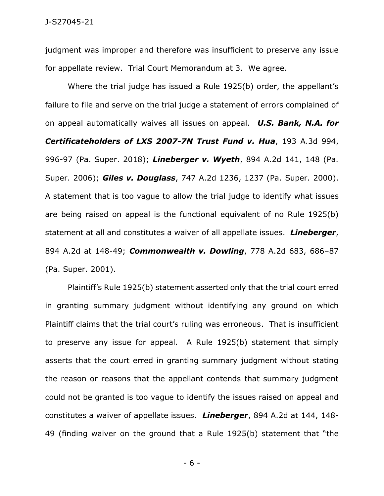judgment was improper and therefore was insufficient to preserve any issue for appellate review. Trial Court Memorandum at 3. We agree.

Where the trial judge has issued a Rule 1925(b) order, the appellant's failure to file and serve on the trial judge a statement of errors complained of on appeal automatically waives all issues on appeal. *U.S. Bank, N.A. for Certificateholders of LXS 2007-7N Trust Fund v. Hua*, 193 A.3d 994, 996-97 (Pa. Super. 2018); *Lineberger v. Wyeth*, 894 A.2d 141, 148 (Pa. Super. 2006); *Giles v. Douglass*, 747 A.2d 1236, 1237 (Pa. Super. 2000). A statement that is too vague to allow the trial judge to identify what issues are being raised on appeal is the functional equivalent of no Rule 1925(b) statement at all and constitutes a waiver of all appellate issues. *Lineberger*, 894 A.2d at 148-49; *Commonwealth v. Dowling*, 778 A.2d 683, 686–87 (Pa. Super. 2001).

Plaintiff's Rule 1925(b) statement asserted only that the trial court erred in granting summary judgment without identifying any ground on which Plaintiff claims that the trial court's ruling was erroneous. That is insufficient to preserve any issue for appeal. A Rule 1925(b) statement that simply asserts that the court erred in granting summary judgment without stating the reason or reasons that the appellant contends that summary judgment could not be granted is too vague to identify the issues raised on appeal and constitutes a waiver of appellate issues. *Lineberger*, 894 A.2d at 144, 148- 49 (finding waiver on the ground that a Rule 1925(b) statement that "the

- 6 -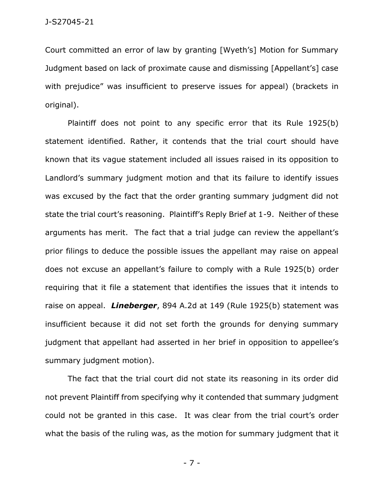Court committed an error of law by granting [Wyeth's] Motion for Summary Judgment based on lack of proximate cause and dismissing [Appellant's] case with prejudice" was insufficient to preserve issues for appeal) (brackets in original).

Plaintiff does not point to any specific error that its Rule 1925(b) statement identified. Rather, it contends that the trial court should have known that its vague statement included all issues raised in its opposition to Landlord's summary judgment motion and that its failure to identify issues was excused by the fact that the order granting summary judgment did not state the trial court's reasoning. Plaintiff's Reply Brief at 1-9. Neither of these arguments has merit. The fact that a trial judge can review the appellant's prior filings to deduce the possible issues the appellant may raise on appeal does not excuse an appellant's failure to comply with a Rule 1925(b) order requiring that it file a statement that identifies the issues that it intends to raise on appeal. *Lineberger*, 894 A.2d at 149 (Rule 1925(b) statement was insufficient because it did not set forth the grounds for denying summary judgment that appellant had asserted in her brief in opposition to appellee's summary judgment motion).

The fact that the trial court did not state its reasoning in its order did not prevent Plaintiff from specifying why it contended that summary judgment could not be granted in this case. It was clear from the trial court's order what the basis of the ruling was, as the motion for summary judgment that it

- 7 -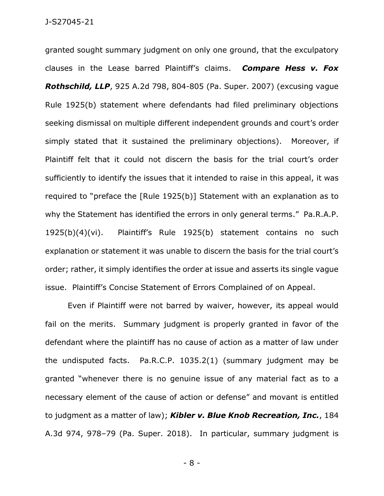granted sought summary judgment on only one ground, that the exculpatory clauses in the Lease barred Plaintiff's claims. *Compare Hess v. Fox Rothschild, LLP*, 925 A.2d 798, 804-805 (Pa. Super. 2007) (excusing vague Rule 1925(b) statement where defendants had filed preliminary objections seeking dismissal on multiple different independent grounds and court's order simply stated that it sustained the preliminary objections). Moreover, if Plaintiff felt that it could not discern the basis for the trial court's order sufficiently to identify the issues that it intended to raise in this appeal, it was required to "preface the [Rule 1925(b)] Statement with an explanation as to why the Statement has identified the errors in only general terms." Pa.R.A.P. 1925(b)(4)(vi). Plaintiff's Rule 1925(b) statement contains no such explanation or statement it was unable to discern the basis for the trial court's order; rather, it simply identifies the order at issue and asserts its single vague issue. Plaintiff's Concise Statement of Errors Complained of on Appeal.

Even if Plaintiff were not barred by waiver, however, its appeal would fail on the merits. Summary judgment is properly granted in favor of the defendant where the plaintiff has no cause of action as a matter of law under the undisputed facts. Pa.R.C.P. 1035.2(1) (summary judgment may be granted "whenever there is no genuine issue of any material fact as to a necessary element of the cause of action or defense" and movant is entitled to judgment as a matter of law); *Kibler v. Blue Knob Recreation, Inc.*, 184 A.3d 974, 978–79 (Pa. Super. 2018). In particular, summary judgment is

- 8 -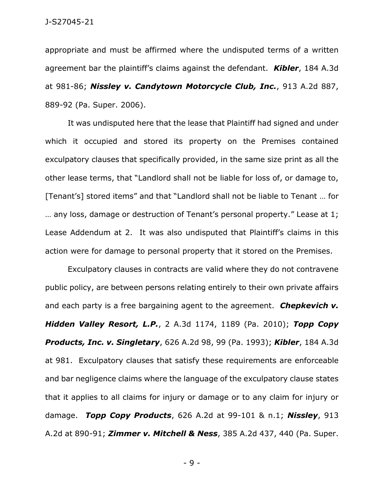appropriate and must be affirmed where the undisputed terms of a written agreement bar the plaintiff's claims against the defendant. *Kibler*, 184 A.3d at 981-86; *Nissley v. Candytown Motorcycle Club, Inc.*, 913 A.2d 887, 889-92 (Pa. Super. 2006).

It was undisputed here that the lease that Plaintiff had signed and under which it occupied and stored its property on the Premises contained exculpatory clauses that specifically provided, in the same size print as all the other lease terms, that "Landlord shall not be liable for loss of, or damage to, [Tenant's] stored items" and that "Landlord shall not be liable to Tenant … for … any loss, damage or destruction of Tenant's personal property." Lease at 1; Lease Addendum at 2. It was also undisputed that Plaintiff's claims in this action were for damage to personal property that it stored on the Premises.

Exculpatory clauses in contracts are valid where they do not contravene public policy, are between persons relating entirely to their own private affairs and each party is a free bargaining agent to the agreement. *Chepkevich v. Hidden Valley Resort, L.P.*, 2 A.3d 1174, 1189 (Pa. 2010); *Topp Copy Products, Inc. v. Singletary*, 626 A.2d 98, 99 (Pa. 1993); *Kibler*, 184 A.3d at 981. Exculpatory clauses that satisfy these requirements are enforceable and bar negligence claims where the language of the exculpatory clause states that it applies to all claims for injury or damage or to any claim for injury or damage. *Topp Copy Products*, 626 A.2d at 99-101 & n.1; *Nissley*, 913 A.2d at 890-91; *Zimmer v. Mitchell & Ness*, 385 A.2d 437, 440 (Pa. Super.

- 9 -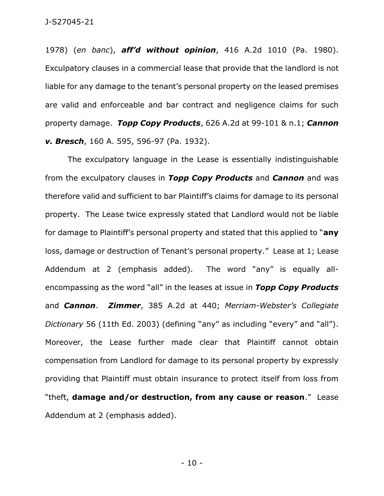1978) (*en banc*), *aff'd without opinion*, 416 A.2d 1010 (Pa. 1980). Exculpatory clauses in a commercial lease that provide that the landlord is not liable for any damage to the tenant's personal property on the leased premises are valid and enforceable and bar contract and negligence claims for such property damage. *Topp Copy Products*, 626 A.2d at 99-101 & n.1; *Cannon v. Bresch*, 160 A. 595, 596-97 (Pa. 1932).

The exculpatory language in the Lease is essentially indistinguishable from the exculpatory clauses in *Topp Copy Products* and *Cannon* and was therefore valid and sufficient to bar Plaintiff's claims for damage to its personal property. The Lease twice expressly stated that Landlord would not be liable for damage to Plaintiff's personal property and stated that this applied to "**any** loss, damage or destruction of Tenant's personal property." Lease at 1; Lease Addendum at 2 (emphasis added). The word "any" is equally allencompassing as the word "all" in the leases at issue in *Topp Copy Products* and *Cannon*. *Zimmer*, 385 A.2d at 440; *Merriam-Webster's Collegiate Dictionary* 56 (11th Ed. 2003) (defining "any" as including "every" and "all"). Moreover, the Lease further made clear that Plaintiff cannot obtain compensation from Landlord for damage to its personal property by expressly providing that Plaintiff must obtain insurance to protect itself from loss from "theft, **damage and/or destruction, from any cause or reason**." Lease Addendum at 2 (emphasis added).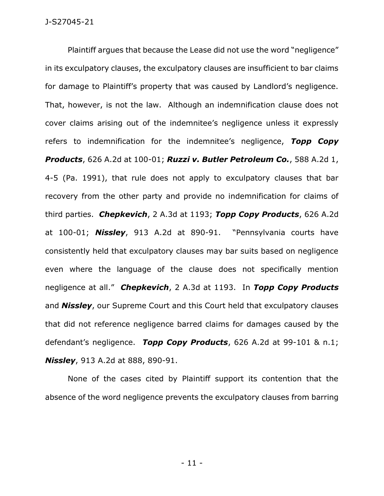Plaintiff argues that because the Lease did not use the word "negligence" in its exculpatory clauses, the exculpatory clauses are insufficient to bar claims for damage to Plaintiff's property that was caused by Landlord's negligence. That, however, is not the law. Although an indemnification clause does not cover claims arising out of the indemnitee's negligence unless it expressly refers to indemnification for the indemnitee's negligence, *Topp Copy Products*, 626 A.2d at 100-01; *Ruzzi v. Butler Petroleum Co.*, 588 A.2d 1, 4-5 (Pa. 1991), that rule does not apply to exculpatory clauses that bar recovery from the other party and provide no indemnification for claims of third parties. *Chepkevich*, 2 A.3d at 1193; *Topp Copy Products*, 626 A.2d at 100-01; *Nissley*, 913 A.2d at 890-91. "Pennsylvania courts have consistently held that exculpatory clauses may bar suits based on negligence even where the language of the clause does not specifically mention negligence at all." *Chepkevich*, 2 A.3d at 1193. In *Topp Copy Products* and *Nissley*, our Supreme Court and this Court held that exculpatory clauses that did not reference negligence barred claims for damages caused by the defendant's negligence. *Topp Copy Products*, 626 A.2d at 99-101 & n.1; *Nissley*, 913 A.2d at 888, 890-91.

None of the cases cited by Plaintiff support its contention that the absence of the word negligence prevents the exculpatory clauses from barring

- 11 -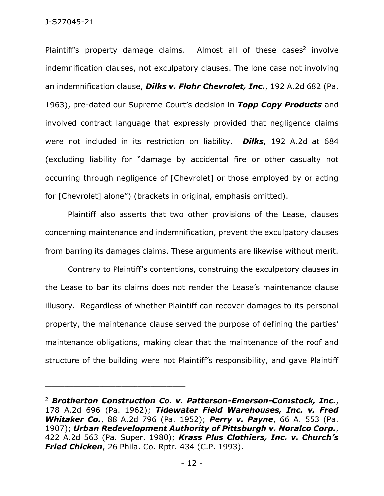Plaintiff's property damage claims. Almost all of these cases<sup>2</sup> involve indemnification clauses, not exculpatory clauses. The lone case not involving an indemnification clause, *Dilks v. Flohr Chevrolet, Inc.*, 192 A.2d 682 (Pa. 1963), pre-dated our Supreme Court's decision in *Topp Copy Products* and involved contract language that expressly provided that negligence claims were not included in its restriction on liability. *Dilks*, 192 A.2d at 684 (excluding liability for "damage by accidental fire or other casualty not occurring through negligence of [Chevrolet] or those employed by or acting for [Chevrolet] alone") (brackets in original, emphasis omitted).

Plaintiff also asserts that two other provisions of the Lease, clauses concerning maintenance and indemnification, prevent the exculpatory clauses from barring its damages claims. These arguments are likewise without merit.

Contrary to Plaintiff's contentions, construing the exculpatory clauses in the Lease to bar its claims does not render the Lease's maintenance clause illusory. Regardless of whether Plaintiff can recover damages to its personal property, the maintenance clause served the purpose of defining the parties' maintenance obligations, making clear that the maintenance of the roof and structure of the building were not Plaintiff's responsibility, and gave Plaintiff

<sup>2</sup> *Brotherton Construction Co. v. Patterson-Emerson-Comstock, Inc.*, 178 A.2d 696 (Pa. 1962); *Tidewater Field Warehouses, Inc. v. Fred Whitaker Co.*, 88 A.2d 796 (Pa. 1952); *Perry v. Payne*, 66 A. 553 (Pa. 1907); *Urban Redevelopment Authority of Pittsburgh v. Noralco Corp.*, 422 A.2d 563 (Pa. Super. 1980); *Krass Plus Clothiers, Inc. v. Church's Fried Chicken*, 26 Phila. Co. Rptr. 434 (C.P. 1993).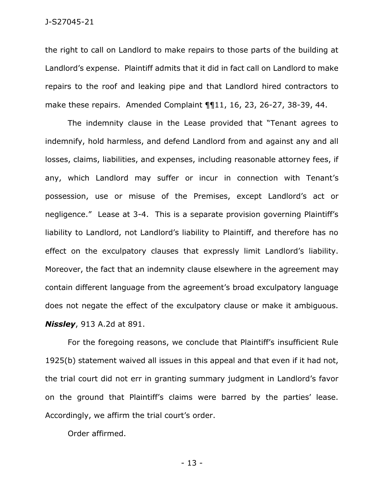the right to call on Landlord to make repairs to those parts of the building at Landlord's expense. Plaintiff admits that it did in fact call on Landlord to make repairs to the roof and leaking pipe and that Landlord hired contractors to make these repairs. Amended Complaint ¶¶11, 16, 23, 26-27, 38-39, 44.

The indemnity clause in the Lease provided that "Tenant agrees to indemnify, hold harmless, and defend Landlord from and against any and all losses, claims, liabilities, and expenses, including reasonable attorney fees, if any, which Landlord may suffer or incur in connection with Tenant's possession, use or misuse of the Premises, except Landlord's act or negligence." Lease at 3-4. This is a separate provision governing Plaintiff's liability to Landlord, not Landlord's liability to Plaintiff, and therefore has no effect on the exculpatory clauses that expressly limit Landlord's liability. Moreover, the fact that an indemnity clause elsewhere in the agreement may contain different language from the agreement's broad exculpatory language does not negate the effect of the exculpatory clause or make it ambiguous. *Nissley*, 913 A.2d at 891.

For the foregoing reasons, we conclude that Plaintiff's insufficient Rule 1925(b) statement waived all issues in this appeal and that even if it had not, the trial court did not err in granting summary judgment in Landlord's favor on the ground that Plaintiff's claims were barred by the parties' lease. Accordingly, we affirm the trial court's order.

Order affirmed.